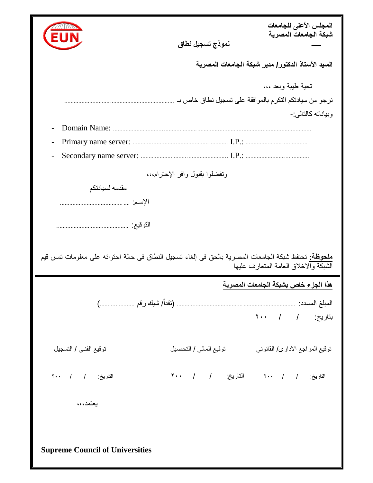|                                                                                                                                                     |                                                        | المجلس الأعلى للجامعات<br>شبكة الجامعات المصرية |
|-----------------------------------------------------------------------------------------------------------------------------------------------------|--------------------------------------------------------|-------------------------------------------------|
|                                                                                                                                                     | نموذج تسجيل نطاق                                       |                                                 |
| السيد الأستاذ الدكتور/ مدير شبكة الجامعات المصرية                                                                                                   |                                                        |                                                 |
|                                                                                                                                                     |                                                        | تحية طيبة وبعد ،،،                              |
|                                                                                                                                                     | نرجو من سيادتكم التكرم بالموافقة على تسجيل نطاق خاص بـ |                                                 |
|                                                                                                                                                     |                                                        | و بياناته كالتالي:-                             |
| Domain Name:                                                                                                                                        |                                                        |                                                 |
|                                                                                                                                                     |                                                        |                                                 |
|                                                                                                                                                     |                                                        |                                                 |
| وتفضلوا بقبول وافر الإحترام،،،                                                                                                                      |                                                        |                                                 |
| مقدمه لسيادتكم                                                                                                                                      |                                                        |                                                 |
|                                                                                                                                                     |                                                        |                                                 |
|                                                                                                                                                     |                                                        |                                                 |
| <b>ملحوظة:</b> تحتفظ شبكة الجامعات المصرية بالحق في إلغاء تسجيل النطاق في حالة احتوائه على معلومات تمس قيم<br>الشبكة والاخلاق العامة المتعارف عليها |                                                        |                                                 |
| هذا الجزء خاص بشبكة الجامعات المصرية                                                                                                                |                                                        |                                                 |
|                                                                                                                                                     |                                                        |                                                 |
|                                                                                                                                                     |                                                        | بتاريخ: / / ٢٠٠                                 |
|                                                                                                                                                     |                                                        |                                                 |
| توقيع الفني / التسجيل                                                                                                                               | توقيع المالي / التحصيل                                 | توقيع المراجع الاداري/ القانوني                 |
| التاريخ: / ٢٠٠                                                                                                                                      |                                                        | التاريخ: / / ٢٠٠ التاريخ: / / ٢٠٠               |
| يعتمد،،،                                                                                                                                            |                                                        |                                                 |
|                                                                                                                                                     |                                                        |                                                 |
|                                                                                                                                                     |                                                        |                                                 |
| <b>Supreme Council of Universities</b>                                                                                                              |                                                        |                                                 |